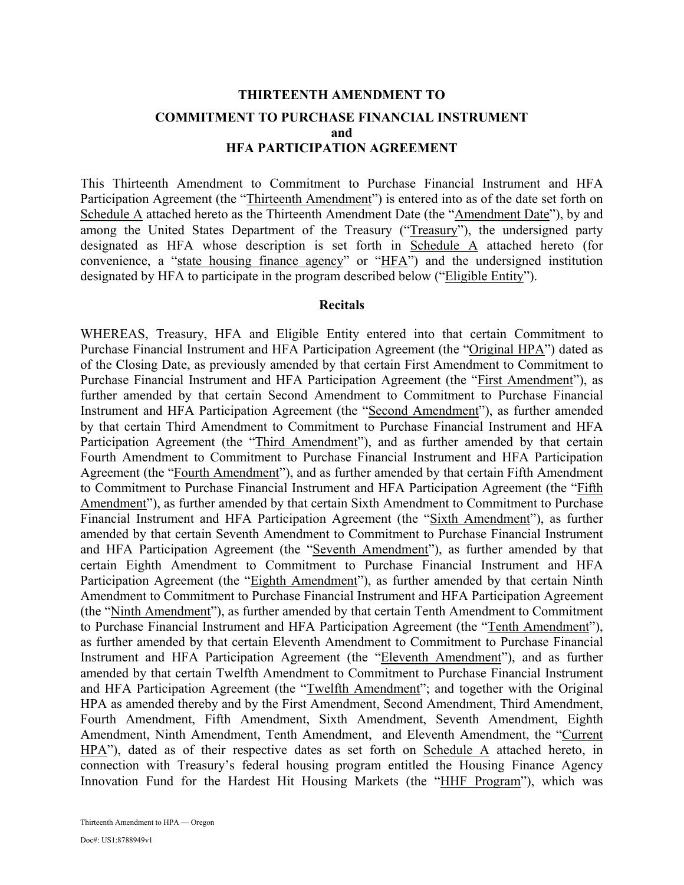# **THIRTEENTH AMENDMENT TO COMMITMENT TO PURCHASE FINANCIAL INSTRUMENT and HFA PARTICIPATION AGREEMENT**

This Thirteenth Amendment to Commitment to Purchase Financial Instrument and HFA Participation Agreement (the "Thirteenth Amendment") is entered into as of the date set forth on Schedule A attached hereto as the Thirteenth Amendment Date (the "Amendment Date"), by and among the United States Department of the Treasury ("Treasury"), the undersigned party designated as HFA whose description is set forth in Schedule A attached hereto (for convenience, a "state housing finance agency" or "HFA") and the undersigned institution designated by HFA to participate in the program described below ("Eligible Entity").

#### **Recitals**

WHEREAS, Treasury, HFA and Eligible Entity entered into that certain Commitment to Purchase Financial Instrument and HFA Participation Agreement (the "Original HPA") dated as of the Closing Date, as previously amended by that certain First Amendment to Commitment to Purchase Financial Instrument and HFA Participation Agreement (the "First Amendment"), as further amended by that certain Second Amendment to Commitment to Purchase Financial Instrument and HFA Participation Agreement (the "Second Amendment"), as further amended by that certain Third Amendment to Commitment to Purchase Financial Instrument and HFA Participation Agreement (the "Third Amendment"), and as further amended by that certain Fourth Amendment to Commitment to Purchase Financial Instrument and HFA Participation Agreement (the "Fourth Amendment"), and as further amended by that certain Fifth Amendment to Commitment to Purchase Financial Instrument and HFA Participation Agreement (the "Fifth Amendment"), as further amended by that certain Sixth Amendment to Commitment to Purchase Financial Instrument and HFA Participation Agreement (the "Sixth Amendment"), as further amended by that certain Seventh Amendment to Commitment to Purchase Financial Instrument and HFA Participation Agreement (the "Seventh Amendment"), as further amended by that certain Eighth Amendment to Commitment to Purchase Financial Instrument and HFA Participation Agreement (the "Eighth Amendment"), as further amended by that certain Ninth Amendment to Commitment to Purchase Financial Instrument and HFA Participation Agreement (the "Ninth Amendment"), as further amended by that certain Tenth Amendment to Commitment to Purchase Financial Instrument and HFA Participation Agreement (the "Tenth Amendment"), as further amended by that certain Eleventh Amendment to Commitment to Purchase Financial Instrument and HFA Participation Agreement (the "Eleventh Amendment"), and as further amended by that certain Twelfth Amendment to Commitment to Purchase Financial Instrument and HFA Participation Agreement (the "Twelfth Amendment"; and together with the Original HPA as amended thereby and by the First Amendment, Second Amendment, Third Amendment, Fourth Amendment, Fifth Amendment, Sixth Amendment, Seventh Amendment, Eighth Amendment, Ninth Amendment, Tenth Amendment, and Eleventh Amendment, the "Current HPA"), dated as of their respective dates as set forth on Schedule A attached hereto, in connection with Treasury's federal housing program entitled the Housing Finance Agency Innovation Fund for the Hardest Hit Housing Markets (the "HHF Program"), which was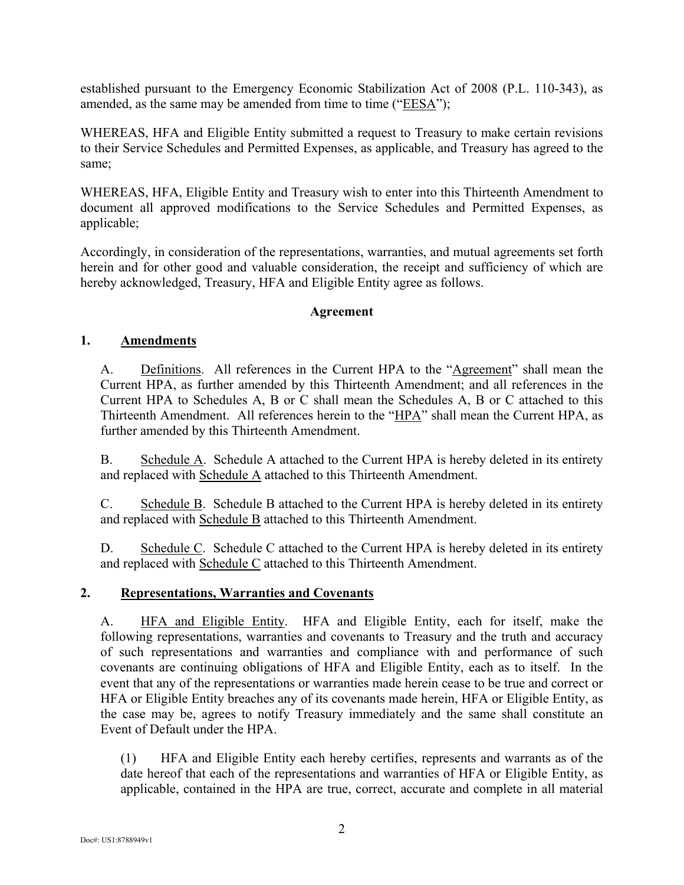established pursuant to the Emergency Economic Stabilization Act of 2008 (P.L. 110-343), as amended, as the same may be amended from time to time ("EESA");

WHEREAS, HFA and Eligible Entity submitted a request to Treasury to make certain revisions to their Service Schedules and Permitted Expenses, as applicable, and Treasury has agreed to the same;

WHEREAS, HFA, Eligible Entity and Treasury wish to enter into this Thirteenth Amendment to document all approved modifications to the Service Schedules and Permitted Expenses, as applicable;

Accordingly, in consideration of the representations, warranties, and mutual agreements set forth herein and for other good and valuable consideration, the receipt and sufficiency of which are hereby acknowledged, Treasury, HFA and Eligible Entity agree as follows.

#### **Agreement**

### **1. Amendments**

A. Definitions. All references in the Current HPA to the "Agreement" shall mean the Current HPA, as further amended by this Thirteenth Amendment; and all references in the Current HPA to Schedules A, B or C shall mean the Schedules A, B or C attached to this Thirteenth Amendment. All references herein to the "HPA" shall mean the Current HPA, as further amended by this Thirteenth Amendment.

B. Schedule A. Schedule A attached to the Current HPA is hereby deleted in its entirety and replaced with Schedule A attached to this Thirteenth Amendment.

C. Schedule B. Schedule B attached to the Current HPA is hereby deleted in its entirety and replaced with Schedule B attached to this Thirteenth Amendment.

D. Schedule C. Schedule C attached to the Current HPA is hereby deleted in its entirety and replaced with  $Schedule C$  attached to this Thirteenth Amendment.

### **2. Representations, Warranties and Covenants**

A. HFA and Eligible Entity. HFA and Eligible Entity, each for itself, make the following representations, warranties and covenants to Treasury and the truth and accuracy of such representations and warranties and compliance with and performance of such covenants are continuing obligations of HFA and Eligible Entity, each as to itself. In the event that any of the representations or warranties made herein cease to be true and correct or HFA or Eligible Entity breaches any of its covenants made herein, HFA or Eligible Entity, as the case may be, agrees to notify Treasury immediately and the same shall constitute an Event of Default under the HPA.

(1) HFA and Eligible Entity each hereby certifies, represents and warrants as of the date hereof that each of the representations and warranties of HFA or Eligible Entity, as applicable, contained in the HPA are true, correct, accurate and complete in all material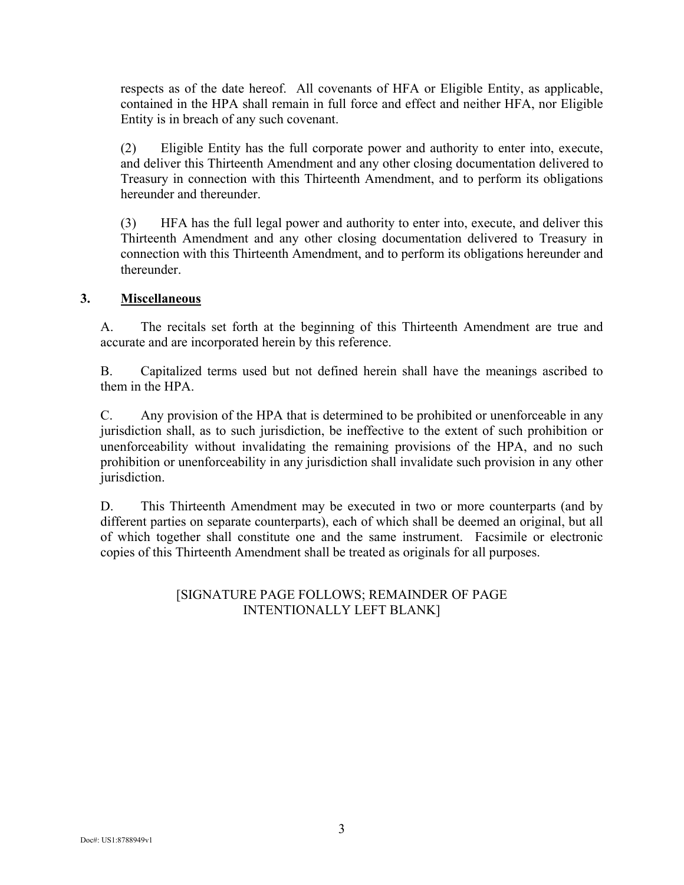respects as of the date hereof. All covenants of HFA or Eligible Entity, as applicable, contained in the HPA shall remain in full force and effect and neither HFA, nor Eligible Entity is in breach of any such covenant.

(2) Eligible Entity has the full corporate power and authority to enter into, execute, and deliver this Thirteenth Amendment and any other closing documentation delivered to Treasury in connection with this Thirteenth Amendment, and to perform its obligations hereunder and thereunder.

(3) HFA has the full legal power and authority to enter into, execute, and deliver this Thirteenth Amendment and any other closing documentation delivered to Treasury in connection with this Thirteenth Amendment, and to perform its obligations hereunder and thereunder.

### **3. Miscellaneous**

A. The recitals set forth at the beginning of this Thirteenth Amendment are true and accurate and are incorporated herein by this reference.

B. Capitalized terms used but not defined herein shall have the meanings ascribed to them in the HPA.

C. Any provision of the HPA that is determined to be prohibited or unenforceable in any jurisdiction shall, as to such jurisdiction, be ineffective to the extent of such prohibition or unenforceability without invalidating the remaining provisions of the HPA, and no such prohibition or unenforceability in any jurisdiction shall invalidate such provision in any other jurisdiction.

D. This Thirteenth Amendment may be executed in two or more counterparts (and by different parties on separate counterparts), each of which shall be deemed an original, but all of which together shall constitute one and the same instrument. Facsimile or electronic copies of this Thirteenth Amendment shall be treated as originals for all purposes.

#### [SIGNATURE PAGE FOLLOWS; REMAINDER OF PAGE INTENTIONALLY LEFT BLANK]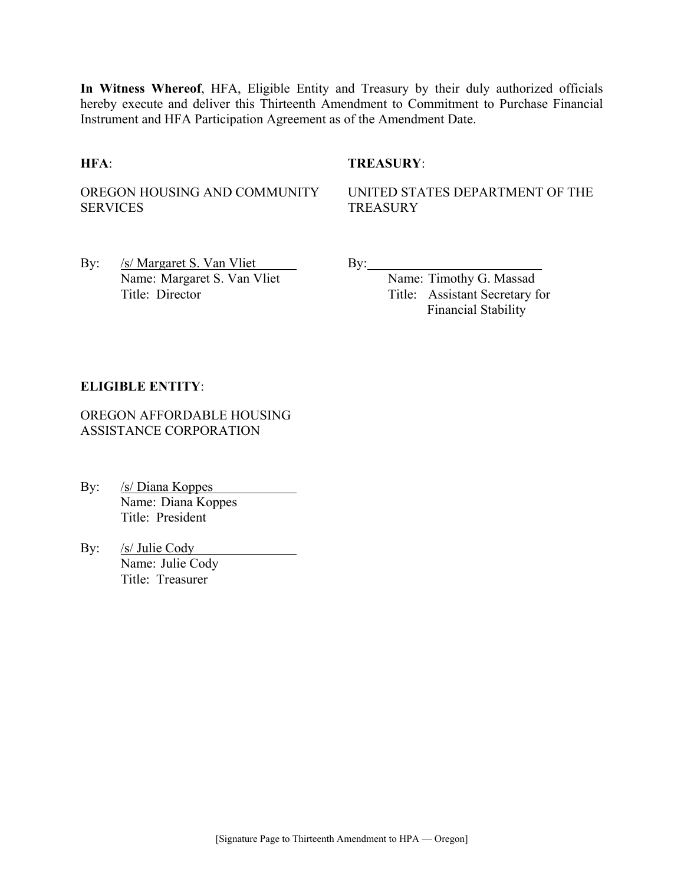**In Witness Whereof**, HFA, Eligible Entity and Treasury by their duly authorized officials hereby execute and deliver this Thirteenth Amendment to Commitment to Purchase Financial Instrument and HFA Participation Agreement as of the Amendment Date.

#### **HFA**: **TREASURY**:

OREGON HOUSING AND COMMUNITY SERVICES

UNITED STATES DEPARTMENT OF THE **TREASURY** 

By: /s/ Margaret S. Van Vliet By: \_\_\_\_\_\_\_\_\_\_\_\_\_\_\_\_\_\_\_\_\_\_\_ Name: Margaret S. Van Vliet Title: Director Title: Assistant Secretary for

Financial Stability

#### **ELIGIBLE ENTITY**:

OREGON AFFORDABLE HOUSING ASSISTANCE CORPORATION

- By: <u>/s/ Diana Koppes</u> Name: Diana Koppes Title: President
- By: <u>/s/ Julie Cody</u> Name: Julie Cody Title: Treasurer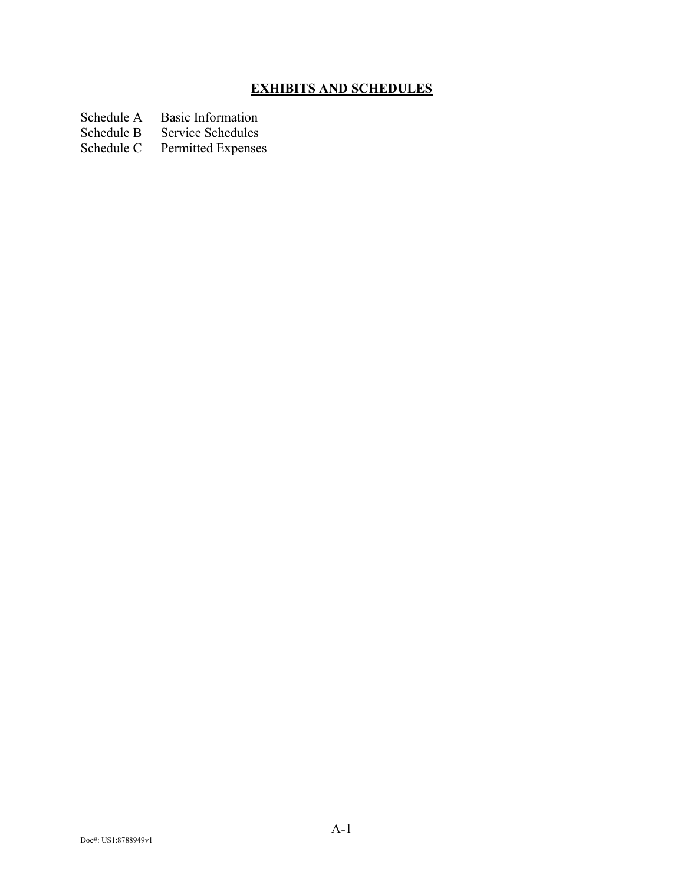# **EXHIBITS AND SCHEDULES**

- Schedule A Basic Information<br>Schedule B Service Schedules
- Schedule B Service Schedules<br>Schedule C Permitted Expense
- Permitted Expenses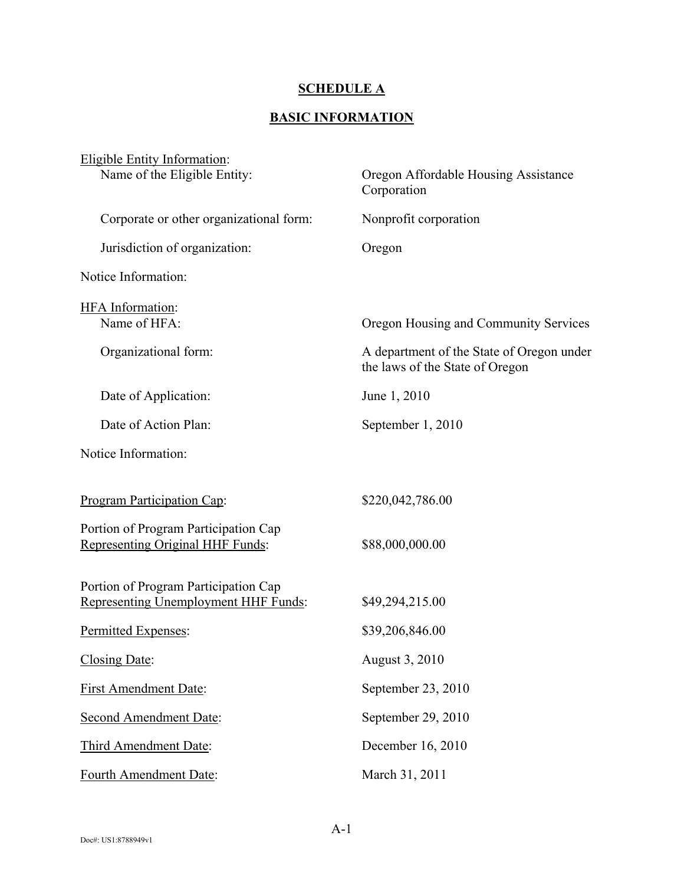## **SCHEDULE A**

### **BASIC INFORMATION**

| Eligible Entity Information:<br>Name of the Eligible Entity:                 | Oregon Affordable Housing Assistance<br>Corporation                          |
|------------------------------------------------------------------------------|------------------------------------------------------------------------------|
| Corporate or other organizational form:                                      | Nonprofit corporation                                                        |
| Jurisdiction of organization:                                                | Oregon                                                                       |
| Notice Information:                                                          |                                                                              |
| <b>HFA</b> Information:<br>Name of HFA:                                      | Oregon Housing and Community Services                                        |
|                                                                              |                                                                              |
| Organizational form:                                                         | A department of the State of Oregon under<br>the laws of the State of Oregon |
| Date of Application:                                                         | June 1, 2010                                                                 |
| Date of Action Plan:                                                         | September 1, 2010                                                            |
| Notice Information:                                                          |                                                                              |
| <b>Program Participation Cap:</b>                                            | \$220,042,786.00                                                             |
| Portion of Program Participation Cap<br>Representing Original HHF Funds:     | \$88,000,000.00                                                              |
| Portion of Program Participation Cap<br>Representing Unemployment HHF Funds: | \$49,294,215.00                                                              |
| Permitted Expenses:                                                          | \$39,206,846.00                                                              |
| Closing Date:                                                                | August 3, 2010                                                               |
| <b>First Amendment Date:</b>                                                 | September 23, 2010                                                           |
| Second Amendment Date:                                                       | September 29, 2010                                                           |
| Third Amendment Date:                                                        | December 16, 2010                                                            |
| Fourth Amendment Date:                                                       | March 31, 2011                                                               |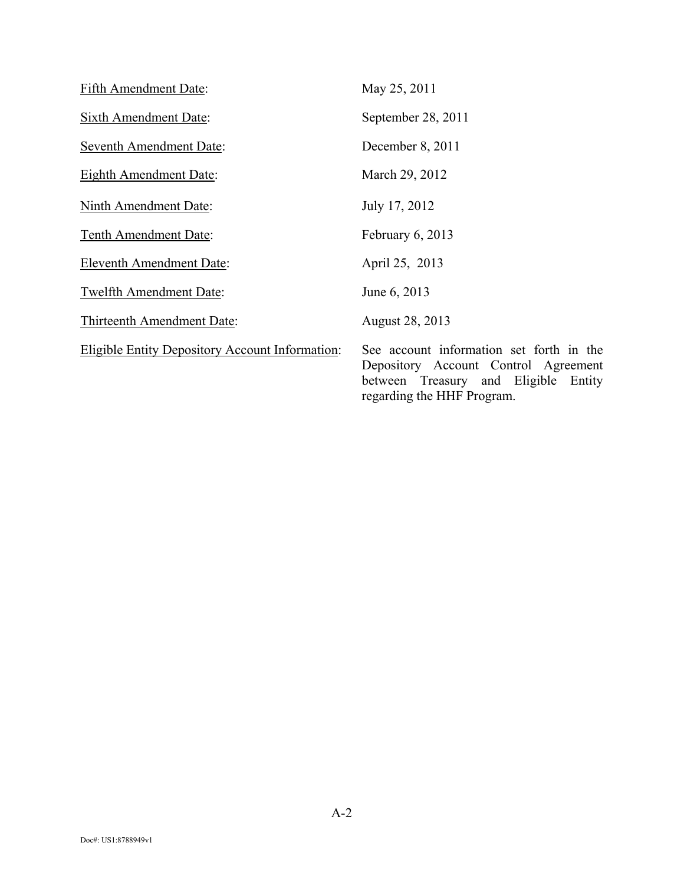| Fifth Amendment Date:                                  | May 25, 2011                                                                                                             |
|--------------------------------------------------------|--------------------------------------------------------------------------------------------------------------------------|
| <b>Sixth Amendment Date:</b>                           | September 28, 2011                                                                                                       |
| <b>Seventh Amendment Date:</b>                         | December 8, 2011                                                                                                         |
| <b>Eighth Amendment Date:</b>                          | March 29, 2012                                                                                                           |
| Ninth Amendment Date:                                  | July 17, 2012                                                                                                            |
| Tenth Amendment Date:                                  | February 6, 2013                                                                                                         |
| <b>Eleventh Amendment Date:</b>                        | April 25, 2013                                                                                                           |
| <b>Twelfth Amendment Date:</b>                         | June 6, 2013                                                                                                             |
| Thirteenth Amendment Date:                             | <b>August 28, 2013</b>                                                                                                   |
| <b>Eligible Entity Depository Account Information:</b> | See account information set forth in the<br>Depository Account Control Agreement<br>between Treasury and Eligible Entity |

regarding the HHF Program.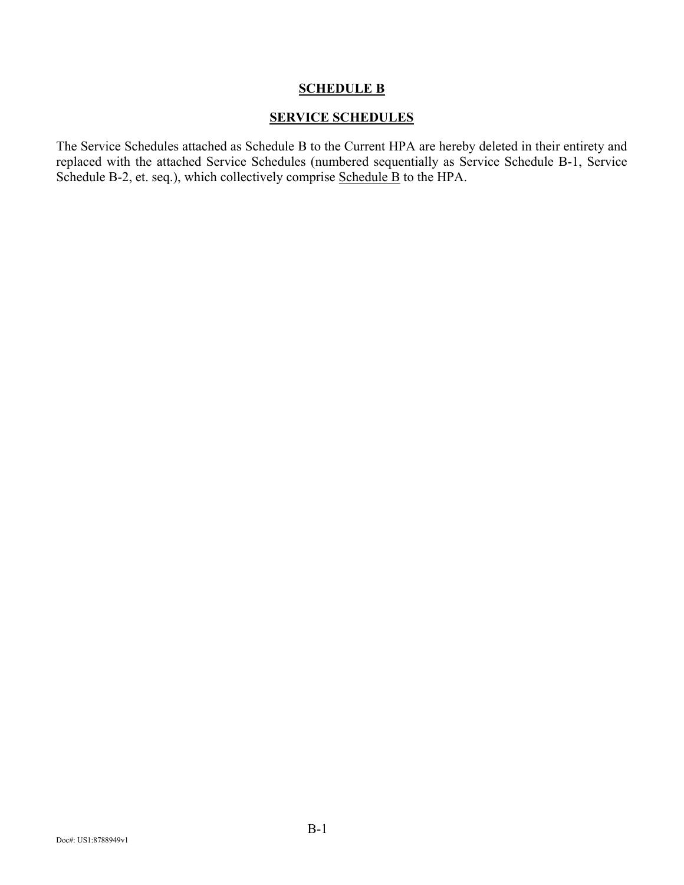#### **SCHEDULE B**

#### **SERVICE SCHEDULES**

The Service Schedules attached as Schedule B to the Current HPA are hereby deleted in their entirety and replaced with the attached Service Schedules (numbered sequentially as Service Schedule B-1, Service Schedule B-2, et. seq.), which collectively comprise Schedule B to the HPA.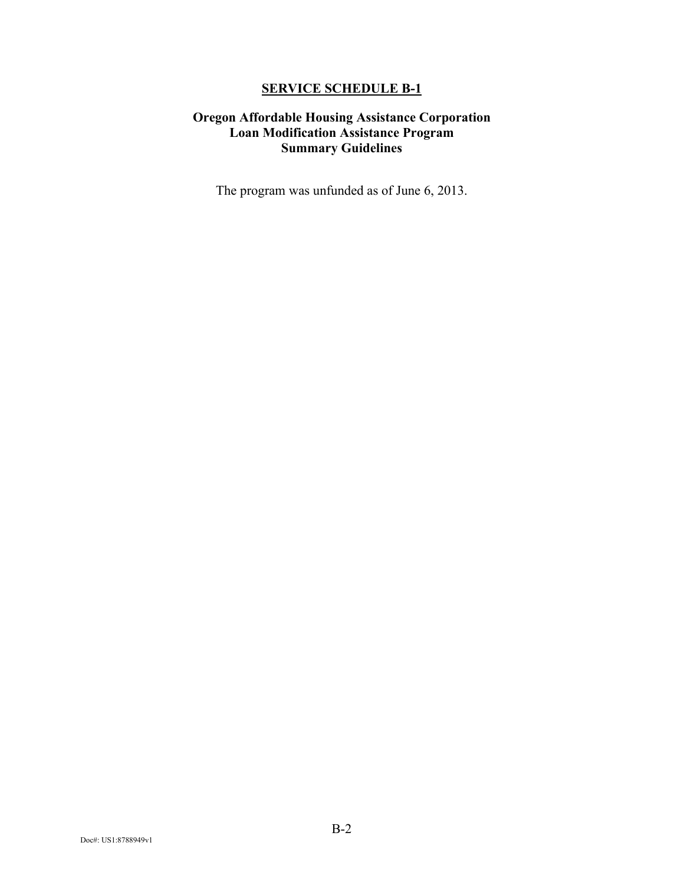## **Oregon Affordable Housing Assistance Corporation Loan Modification Assistance Program Summary Guidelines**

The program was unfunded as of June 6, 2013.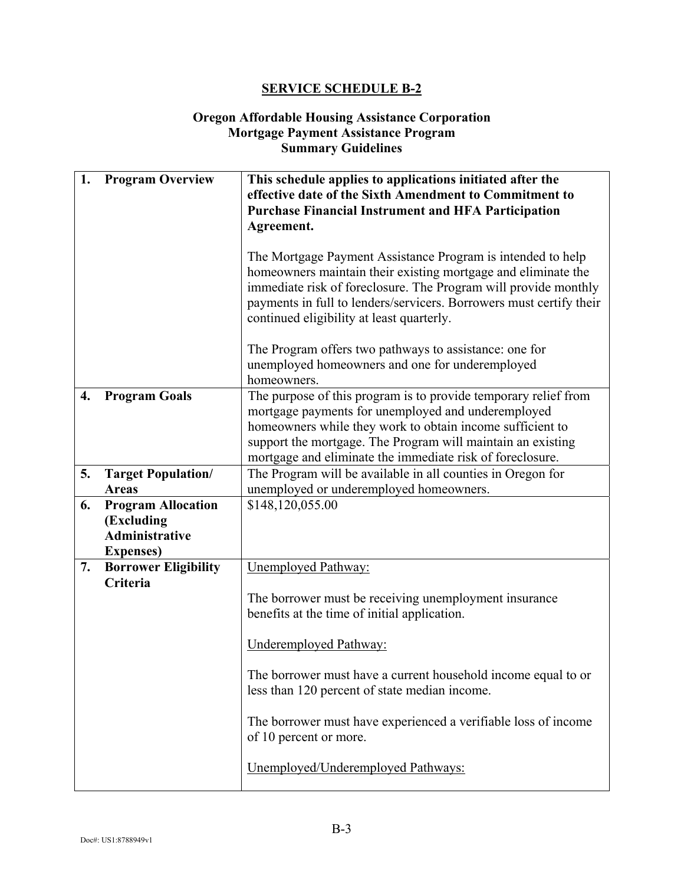#### **Oregon Affordable Housing Assistance Corporation Mortgage Payment Assistance Program Summary Guidelines**

| 1. | <b>Program Overview</b>                                                                        | This schedule applies to applications initiated after the<br>effective date of the Sixth Amendment to Commitment to<br><b>Purchase Financial Instrument and HFA Participation</b><br>Agreement.<br>The Mortgage Payment Assistance Program is intended to help<br>homeowners maintain their existing mortgage and eliminate the<br>immediate risk of foreclosure. The Program will provide monthly<br>payments in full to lenders/servicers. Borrowers must certify their<br>continued eligibility at least quarterly.<br>The Program offers two pathways to assistance: one for |
|----|------------------------------------------------------------------------------------------------|----------------------------------------------------------------------------------------------------------------------------------------------------------------------------------------------------------------------------------------------------------------------------------------------------------------------------------------------------------------------------------------------------------------------------------------------------------------------------------------------------------------------------------------------------------------------------------|
|    |                                                                                                | unemployed homeowners and one for underemployed<br>homeowners.                                                                                                                                                                                                                                                                                                                                                                                                                                                                                                                   |
| 4. | <b>Program Goals</b>                                                                           | The purpose of this program is to provide temporary relief from<br>mortgage payments for unemployed and underemployed<br>homeowners while they work to obtain income sufficient to<br>support the mortgage. The Program will maintain an existing<br>mortgage and eliminate the immediate risk of foreclosure.                                                                                                                                                                                                                                                                   |
| 5. | <b>Target Population/</b>                                                                      | The Program will be available in all counties in Oregon for                                                                                                                                                                                                                                                                                                                                                                                                                                                                                                                      |
| 6. | <b>Areas</b><br><b>Program Allocation</b><br>(Excluding<br>Administrative<br><b>Expenses</b> ) | unemployed or underemployed homeowners.<br>\$148,120,055.00                                                                                                                                                                                                                                                                                                                                                                                                                                                                                                                      |
| 7. | <b>Borrower Eligibility</b><br>Criteria                                                        | <b>Unemployed Pathway:</b><br>The borrower must be receiving unemployment insurance<br>benefits at the time of initial application.<br>Underemployed Pathway:<br>The borrower must have a current household income equal to or<br>less than 120 percent of state median income.<br>The borrower must have experienced a verifiable loss of income<br>of 10 percent or more.<br>Unemployed/Underemployed Pathways:                                                                                                                                                                |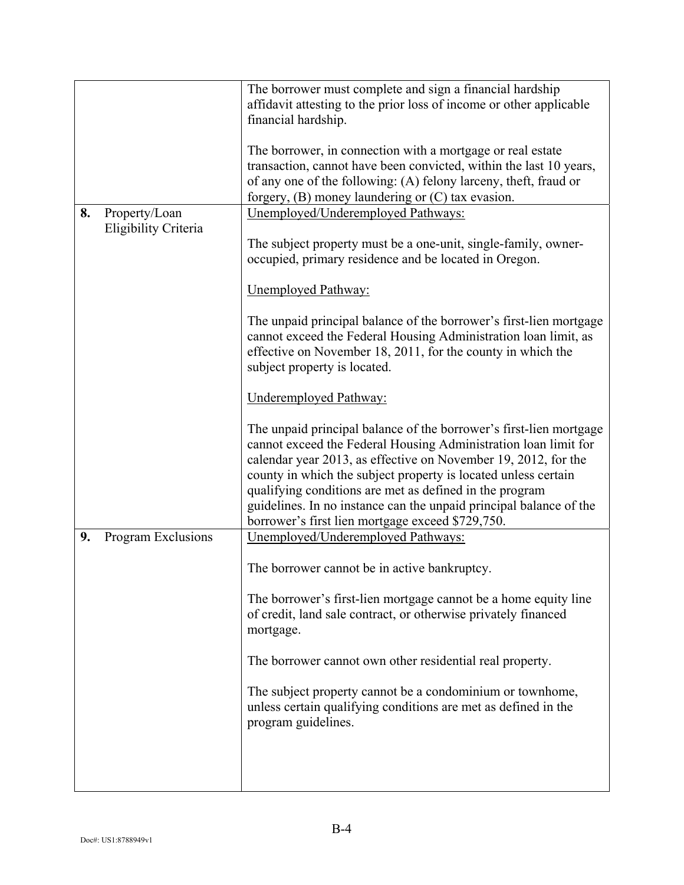|    |                      | The borrower must complete and sign a financial hardship<br>affidavit attesting to the prior loss of income or other applicable<br>financial hardship.                                                                                                                                                                                                                                                                                                         |
|----|----------------------|----------------------------------------------------------------------------------------------------------------------------------------------------------------------------------------------------------------------------------------------------------------------------------------------------------------------------------------------------------------------------------------------------------------------------------------------------------------|
|    |                      | The borrower, in connection with a mortgage or real estate<br>transaction, cannot have been convicted, within the last 10 years,<br>of any one of the following: (A) felony larceny, theft, fraud or<br>forgery, (B) money laundering or (C) tax evasion.                                                                                                                                                                                                      |
| 8. | Property/Loan        | Unemployed/Underemployed Pathways:                                                                                                                                                                                                                                                                                                                                                                                                                             |
|    | Eligibility Criteria | The subject property must be a one-unit, single-family, owner-<br>occupied, primary residence and be located in Oregon.                                                                                                                                                                                                                                                                                                                                        |
|    |                      | <b>Unemployed Pathway:</b>                                                                                                                                                                                                                                                                                                                                                                                                                                     |
|    |                      | The unpaid principal balance of the borrower's first-lien mortgage<br>cannot exceed the Federal Housing Administration loan limit, as<br>effective on November 18, 2011, for the county in which the<br>subject property is located.                                                                                                                                                                                                                           |
|    |                      | <b>Underemployed Pathway:</b>                                                                                                                                                                                                                                                                                                                                                                                                                                  |
|    |                      | The unpaid principal balance of the borrower's first-lien mortgage<br>cannot exceed the Federal Housing Administration loan limit for<br>calendar year 2013, as effective on November 19, 2012, for the<br>county in which the subject property is located unless certain<br>qualifying conditions are met as defined in the program<br>guidelines. In no instance can the unpaid principal balance of the<br>borrower's first lien mortgage exceed \$729,750. |
| 9. | Program Exclusions   | Unemployed/Underemployed Pathways:                                                                                                                                                                                                                                                                                                                                                                                                                             |
|    |                      | The borrower cannot be in active bankruptcy.                                                                                                                                                                                                                                                                                                                                                                                                                   |
|    |                      | The borrower's first-lien mortgage cannot be a home equity line<br>of credit, land sale contract, or otherwise privately financed<br>mortgage.                                                                                                                                                                                                                                                                                                                 |
|    |                      | The borrower cannot own other residential real property.                                                                                                                                                                                                                                                                                                                                                                                                       |
|    |                      | The subject property cannot be a condominium or townhome,<br>unless certain qualifying conditions are met as defined in the<br>program guidelines.                                                                                                                                                                                                                                                                                                             |
|    |                      |                                                                                                                                                                                                                                                                                                                                                                                                                                                                |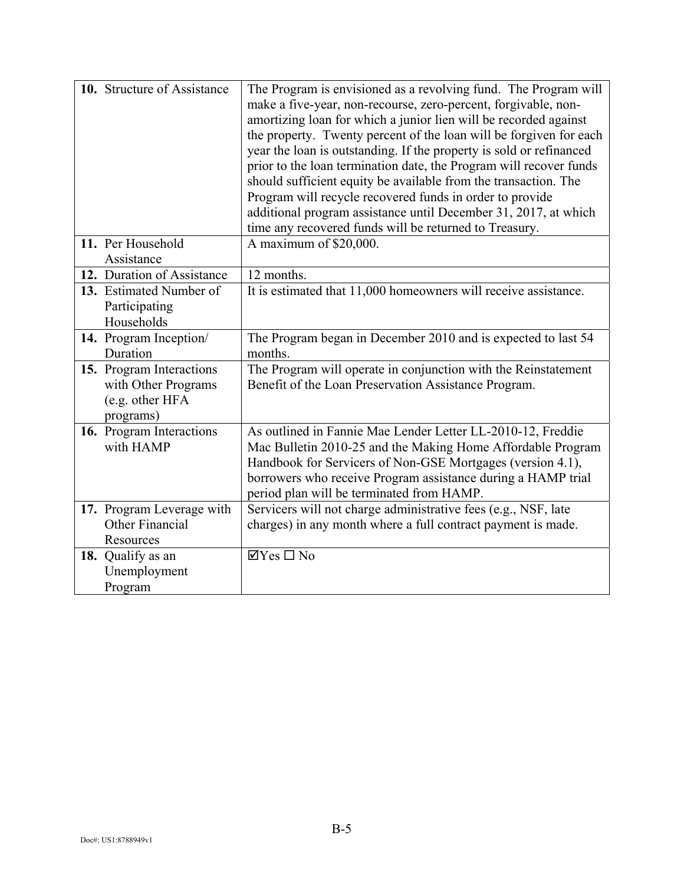| 10. Structure of Assistance                                                     | The Program is envisioned as a revolving fund. The Program will<br>make a five-year, non-recourse, zero-percent, forgivable, non-<br>amortizing loan for which a junior lien will be recorded against<br>the property. Twenty percent of the loan will be forgiven for each<br>year the loan is outstanding. If the property is sold or refinanced<br>prior to the loan termination date, the Program will recover funds<br>should sufficient equity be available from the transaction. The<br>Program will recycle recovered funds in order to provide<br>additional program assistance until December 31, 2017, at which<br>time any recovered funds will be returned to Treasury. |
|---------------------------------------------------------------------------------|--------------------------------------------------------------------------------------------------------------------------------------------------------------------------------------------------------------------------------------------------------------------------------------------------------------------------------------------------------------------------------------------------------------------------------------------------------------------------------------------------------------------------------------------------------------------------------------------------------------------------------------------------------------------------------------|
| 11. Per Household<br>Assistance                                                 | A maximum of \$20,000.                                                                                                                                                                                                                                                                                                                                                                                                                                                                                                                                                                                                                                                               |
| 12. Duration of Assistance                                                      | 12 months.                                                                                                                                                                                                                                                                                                                                                                                                                                                                                                                                                                                                                                                                           |
| 13. Estimated Number of<br>Participating<br>Households                          | It is estimated that 11,000 homeowners will receive assistance.                                                                                                                                                                                                                                                                                                                                                                                                                                                                                                                                                                                                                      |
| 14. Program Inception/<br>Duration                                              | The Program began in December 2010 and is expected to last 54<br>months.                                                                                                                                                                                                                                                                                                                                                                                                                                                                                                                                                                                                             |
| 15. Program Interactions<br>with Other Programs<br>(e.g. other HFA<br>programs) | The Program will operate in conjunction with the Reinstatement<br>Benefit of the Loan Preservation Assistance Program.                                                                                                                                                                                                                                                                                                                                                                                                                                                                                                                                                               |
| 16. Program Interactions<br>with HAMP                                           | As outlined in Fannie Mae Lender Letter LL-2010-12, Freddie<br>Mac Bulletin 2010-25 and the Making Home Affordable Program<br>Handbook for Servicers of Non-GSE Mortgages (version 4.1),<br>borrowers who receive Program assistance during a HAMP trial<br>period plan will be terminated from HAMP.                                                                                                                                                                                                                                                                                                                                                                                |
| 17. Program Leverage with<br>Other Financial<br>Resources                       | Servicers will not charge administrative fees (e.g., NSF, late<br>charges) in any month where a full contract payment is made.                                                                                                                                                                                                                                                                                                                                                                                                                                                                                                                                                       |
| 18. Qualify as an<br>Unemployment<br>Program                                    | $\boxtimes$ Yes $\square$ No                                                                                                                                                                                                                                                                                                                                                                                                                                                                                                                                                                                                                                                         |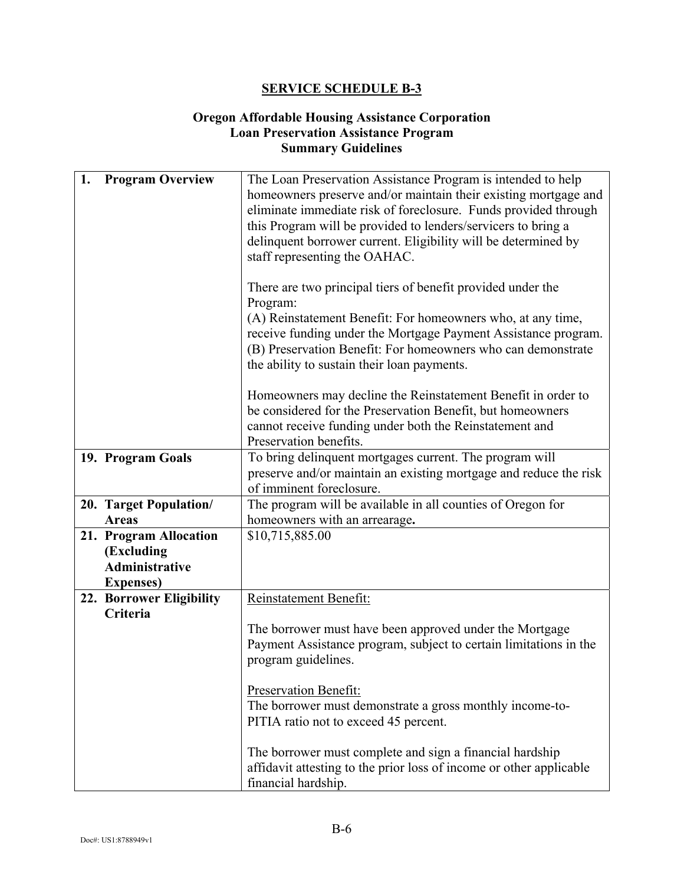#### **Oregon Affordable Housing Assistance Corporation Loan Preservation Assistance Program Summary Guidelines**

| 1. | <b>Program Overview</b>  | The Loan Preservation Assistance Program is intended to help        |
|----|--------------------------|---------------------------------------------------------------------|
|    |                          | homeowners preserve and/or maintain their existing mortgage and     |
|    |                          | eliminate immediate risk of foreclosure. Funds provided through     |
|    |                          | this Program will be provided to lenders/servicers to bring a       |
|    |                          | delinquent borrower current. Eligibility will be determined by      |
|    |                          |                                                                     |
|    |                          | staff representing the OAHAC.                                       |
|    |                          |                                                                     |
|    |                          | There are two principal tiers of benefit provided under the         |
|    |                          | Program:                                                            |
|    |                          | (A) Reinstatement Benefit: For homeowners who, at any time,         |
|    |                          | receive funding under the Mortgage Payment Assistance program.      |
|    |                          |                                                                     |
|    |                          | (B) Preservation Benefit: For homeowners who can demonstrate        |
|    |                          | the ability to sustain their loan payments.                         |
|    |                          |                                                                     |
|    |                          | Homeowners may decline the Reinstatement Benefit in order to        |
|    |                          | be considered for the Preservation Benefit, but homeowners          |
|    |                          | cannot receive funding under both the Reinstatement and             |
|    |                          | Preservation benefits.                                              |
|    | 19. Program Goals        | To bring delinquent mortgages current. The program will             |
|    |                          | preserve and/or maintain an existing mortgage and reduce the risk   |
|    |                          | of imminent foreclosure.                                            |
|    |                          |                                                                     |
|    | 20. Target Population/   | The program will be available in all counties of Oregon for         |
|    | <b>Areas</b>             | homeowners with an arrearage.                                       |
|    | 21. Program Allocation   | \$10,715,885.00                                                     |
|    | (Excluding               |                                                                     |
|    | <b>Administrative</b>    |                                                                     |
|    | <b>Expenses</b> )        |                                                                     |
|    | 22. Borrower Eligibility | Reinstatement Benefit:                                              |
|    | Criteria                 |                                                                     |
|    |                          | The borrower must have been approved under the Mortgage             |
|    |                          |                                                                     |
|    |                          | Payment Assistance program, subject to certain limitations in the   |
|    |                          | program guidelines.                                                 |
|    |                          |                                                                     |
|    |                          | Preservation Benefit:                                               |
|    |                          | The borrower must demonstrate a gross monthly income-to-            |
|    |                          | PITIA ratio not to exceed 45 percent.                               |
|    |                          |                                                                     |
|    |                          | The borrower must complete and sign a financial hardship            |
|    |                          |                                                                     |
|    |                          | affidavit attesting to the prior loss of income or other applicable |
|    |                          | financial hardship.                                                 |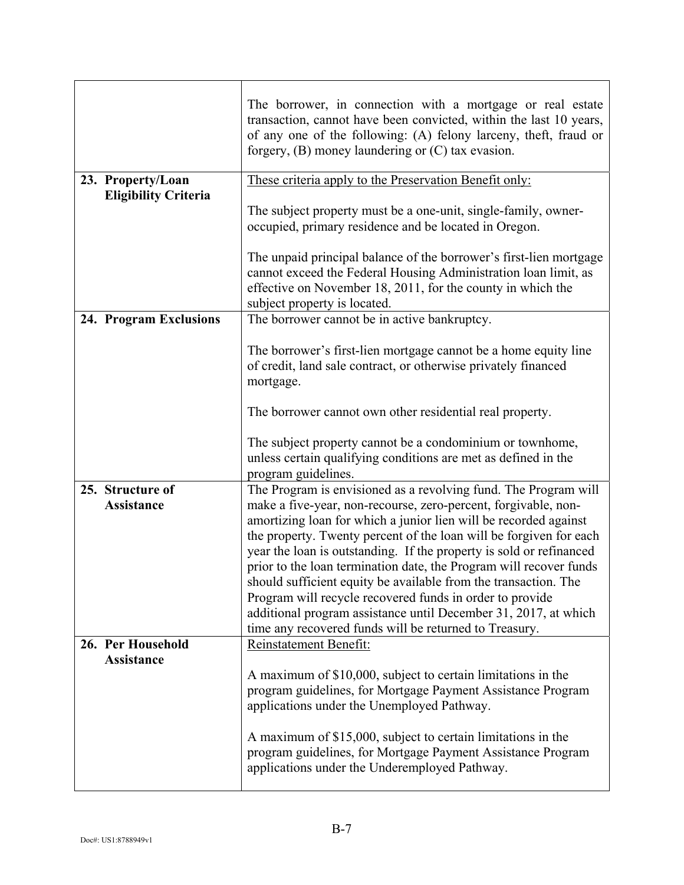| The borrower, in connection with a mortgage or real estate<br>transaction, cannot have been convicted, within the last 10 years,<br>of any one of the following: (A) felony larceny, theft, fraud or<br>forgery, $(B)$ money laundering or $(C)$ tax evasion.                                                                                                                                                                                                                                                                                                                                                     |
|-------------------------------------------------------------------------------------------------------------------------------------------------------------------------------------------------------------------------------------------------------------------------------------------------------------------------------------------------------------------------------------------------------------------------------------------------------------------------------------------------------------------------------------------------------------------------------------------------------------------|
| These criteria apply to the Preservation Benefit only:                                                                                                                                                                                                                                                                                                                                                                                                                                                                                                                                                            |
| The subject property must be a one-unit, single-family, owner-<br>occupied, primary residence and be located in Oregon.                                                                                                                                                                                                                                                                                                                                                                                                                                                                                           |
| The unpaid principal balance of the borrower's first-lien mortgage<br>cannot exceed the Federal Housing Administration loan limit, as<br>effective on November 18, 2011, for the county in which the<br>subject property is located.                                                                                                                                                                                                                                                                                                                                                                              |
| The borrower cannot be in active bankruptcy.                                                                                                                                                                                                                                                                                                                                                                                                                                                                                                                                                                      |
| The borrower's first-lien mortgage cannot be a home equity line<br>of credit, land sale contract, or otherwise privately financed<br>mortgage.                                                                                                                                                                                                                                                                                                                                                                                                                                                                    |
| The borrower cannot own other residential real property.                                                                                                                                                                                                                                                                                                                                                                                                                                                                                                                                                          |
| The subject property cannot be a condominium or townhome,<br>unless certain qualifying conditions are met as defined in the<br>program guidelines.                                                                                                                                                                                                                                                                                                                                                                                                                                                                |
| The Program is envisioned as a revolving fund. The Program will                                                                                                                                                                                                                                                                                                                                                                                                                                                                                                                                                   |
| make a five-year, non-recourse, zero-percent, forgivable, non-<br>amortizing loan for which a junior lien will be recorded against<br>the property. Twenty percent of the loan will be forgiven for each<br>year the loan is outstanding. If the property is sold or refinanced<br>prior to the loan termination date, the Program will recover funds<br>should sufficient equity be available from the transaction. The<br>Program will recycle recovered funds in order to provide<br>additional program assistance until December 31, 2017, at which<br>time any recovered funds will be returned to Treasury. |
| Reinstatement Benefit:                                                                                                                                                                                                                                                                                                                                                                                                                                                                                                                                                                                            |
| A maximum of \$10,000, subject to certain limitations in the<br>program guidelines, for Mortgage Payment Assistance Program<br>applications under the Unemployed Pathway.<br>A maximum of \$15,000, subject to certain limitations in the<br>program guidelines, for Mortgage Payment Assistance Program<br>applications under the Underemployed Pathway.                                                                                                                                                                                                                                                         |
|                                                                                                                                                                                                                                                                                                                                                                                                                                                                                                                                                                                                                   |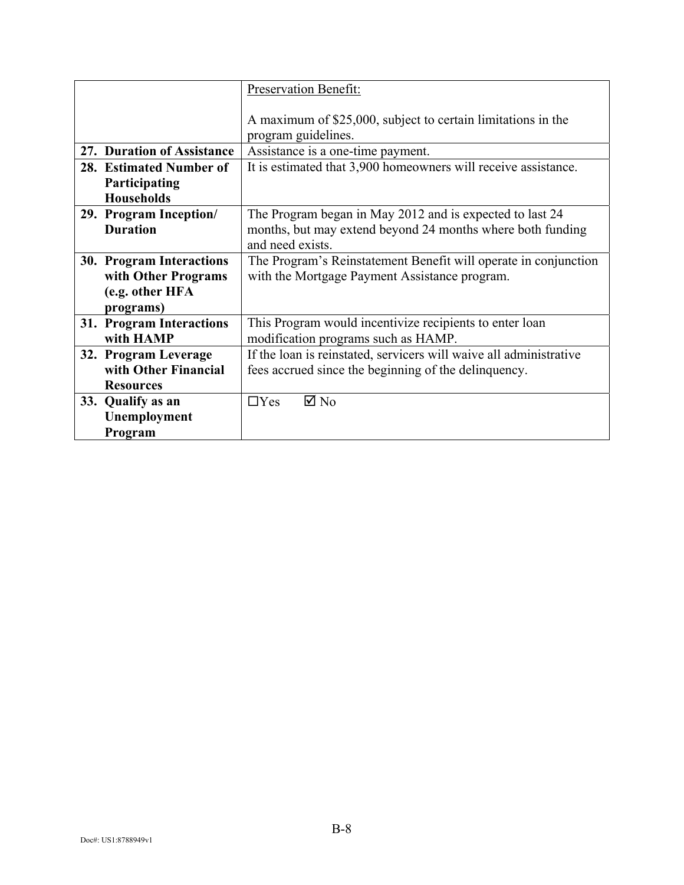|                                    | Preservation Benefit:                                                               |
|------------------------------------|-------------------------------------------------------------------------------------|
|                                    | A maximum of \$25,000, subject to certain limitations in the<br>program guidelines. |
| 27. Duration of Assistance         | Assistance is a one-time payment.                                                   |
| 28. Estimated Number of            | It is estimated that 3,900 homeowners will receive assistance.                      |
| Participating<br><b>Households</b> |                                                                                     |
| 29. Program Inception/             | The Program began in May 2012 and is expected to last 24                            |
| <b>Duration</b>                    | months, but may extend beyond 24 months where both funding                          |
|                                    | and need exists.                                                                    |
| 30. Program Interactions           | The Program's Reinstatement Benefit will operate in conjunction                     |
| with Other Programs                | with the Mortgage Payment Assistance program.                                       |
| (e.g. other HFA                    |                                                                                     |
| programs)                          |                                                                                     |
| 31. Program Interactions           | This Program would incentivize recipients to enter loan                             |
| with HAMP                          | modification programs such as HAMP.                                                 |
| 32. Program Leverage               | If the loan is reinstated, servicers will waive all administrative                  |
| with Other Financial               | fees accrued since the beginning of the delinquency.                                |
| <b>Resources</b>                   |                                                                                     |
| 33. Qualify as an                  | $\boxtimes$ No<br>$\Box$ Yes                                                        |
| Unemployment                       |                                                                                     |
| Program                            |                                                                                     |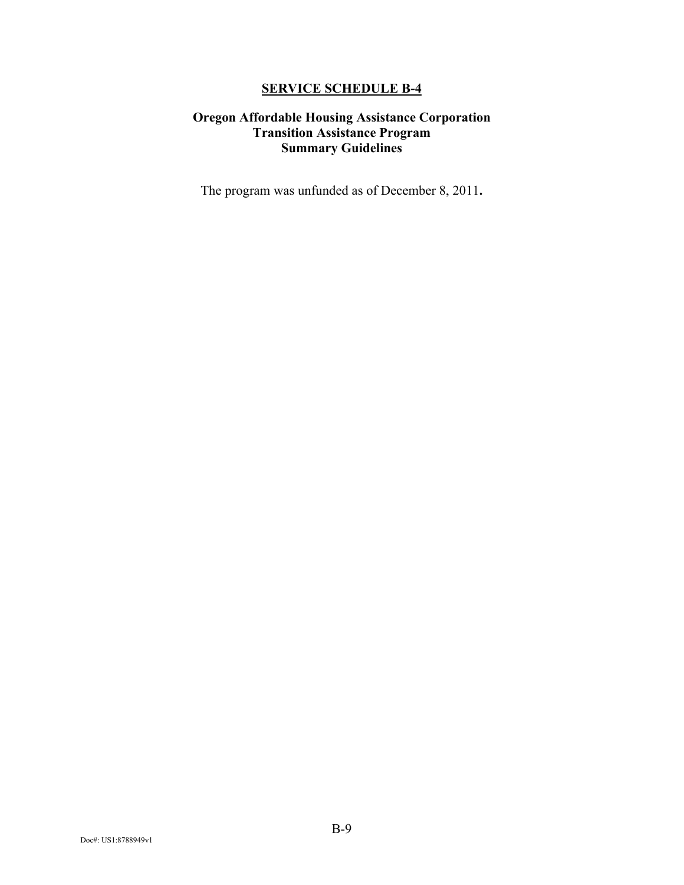### **Oregon Affordable Housing Assistance Corporation Transition Assistance Program Summary Guidelines**

The program was unfunded as of December 8, 2011**.**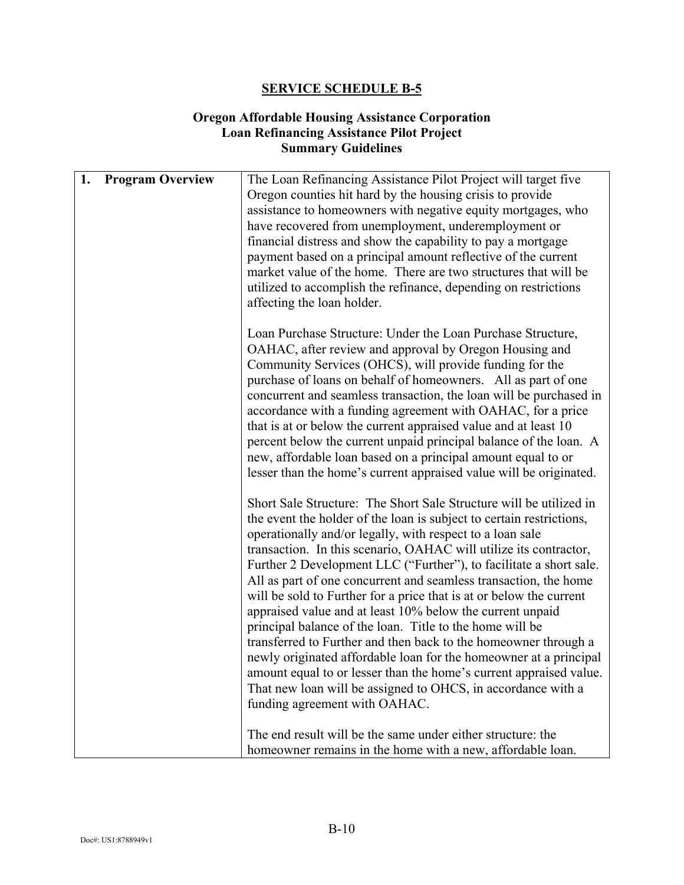#### **Oregon Affordable Housing Assistance Corporation Loan Refinancing Assistance Pilot Project Summary Guidelines**

| 1. | <b>Program Overview</b> | The Loan Refinancing Assistance Pilot Project will target five       |
|----|-------------------------|----------------------------------------------------------------------|
|    |                         | Oregon counties hit hard by the housing crisis to provide            |
|    |                         | assistance to homeowners with negative equity mortgages, who         |
|    |                         | have recovered from unemployment, underemployment or                 |
|    |                         | financial distress and show the capability to pay a mortgage         |
|    |                         | payment based on a principal amount reflective of the current        |
|    |                         | market value of the home. There are two structures that will be      |
|    |                         |                                                                      |
|    |                         | utilized to accomplish the refinance, depending on restrictions      |
|    |                         | affecting the loan holder.                                           |
|    |                         | Loan Purchase Structure: Under the Loan Purchase Structure,          |
|    |                         | OAHAC, after review and approval by Oregon Housing and               |
|    |                         | Community Services (OHCS), will provide funding for the              |
|    |                         | purchase of loans on behalf of homeowners. All as part of one        |
|    |                         | concurrent and seamless transaction, the loan will be purchased in   |
|    |                         |                                                                      |
|    |                         | accordance with a funding agreement with OAHAC, for a price          |
|    |                         | that is at or below the current appraised value and at least 10      |
|    |                         | percent below the current unpaid principal balance of the loan. A    |
|    |                         | new, affordable loan based on a principal amount equal to or         |
|    |                         | lesser than the home's current appraised value will be originated.   |
|    |                         | Short Sale Structure: The Short Sale Structure will be utilized in   |
|    |                         | the event the holder of the loan is subject to certain restrictions, |
|    |                         | operationally and/or legally, with respect to a loan sale            |
|    |                         | transaction. In this scenario, OAHAC will utilize its contractor,    |
|    |                         | Further 2 Development LLC ("Further"), to facilitate a short sale.   |
|    |                         |                                                                      |
|    |                         | All as part of one concurrent and seamless transaction, the home     |
|    |                         | will be sold to Further for a price that is at or below the current  |
|    |                         | appraised value and at least 10% below the current unpaid            |
|    |                         | principal balance of the loan. Title to the home will be             |
|    |                         | transferred to Further and then back to the homeowner through a      |
|    |                         | newly originated affordable loan for the homeowner at a principal    |
|    |                         | amount equal to or lesser than the home's current appraised value.   |
|    |                         | That new loan will be assigned to OHCS, in accordance with a         |
|    |                         | funding agreement with OAHAC.                                        |
|    |                         |                                                                      |
|    |                         | The end result will be the same under either structure: the          |
|    |                         | homeowner remains in the home with a new, affordable loan.           |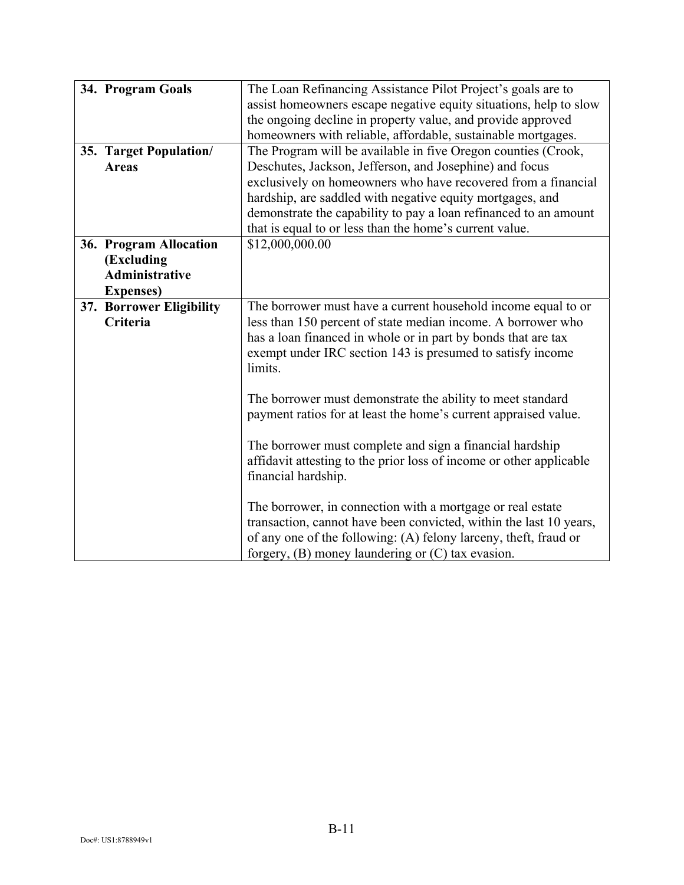| 34. Program Goals                                                                  | The Loan Refinancing Assistance Pilot Project's goals are to<br>assist homeowners escape negative equity situations, help to slow<br>the ongoing decline in property value, and provide approved<br>homeowners with reliable, affordable, sustainable mortgages.                                                                                                                      |
|------------------------------------------------------------------------------------|---------------------------------------------------------------------------------------------------------------------------------------------------------------------------------------------------------------------------------------------------------------------------------------------------------------------------------------------------------------------------------------|
| 35. Target Population/<br><b>Areas</b>                                             | The Program will be available in five Oregon counties (Crook,<br>Deschutes, Jackson, Jefferson, and Josephine) and focus<br>exclusively on homeowners who have recovered from a financial<br>hardship, are saddled with negative equity mortgages, and<br>demonstrate the capability to pay a loan refinanced to an amount<br>that is equal to or less than the home's current value. |
| 36. Program Allocation<br>(Excluding<br><b>Administrative</b><br><b>Expenses</b> ) | \$12,000,000.00                                                                                                                                                                                                                                                                                                                                                                       |
| 37. Borrower Eligibility<br>Criteria                                               | The borrower must have a current household income equal to or<br>less than 150 percent of state median income. A borrower who<br>has a loan financed in whole or in part by bonds that are tax<br>exempt under IRC section 143 is presumed to satisfy income<br>limits.                                                                                                               |
|                                                                                    | The borrower must demonstrate the ability to meet standard<br>payment ratios for at least the home's current appraised value.<br>The borrower must complete and sign a financial hardship<br>affidavit attesting to the prior loss of income or other applicable<br>financial hardship.                                                                                               |
|                                                                                    | The borrower, in connection with a mortgage or real estate<br>transaction, cannot have been convicted, within the last 10 years,<br>of any one of the following: (A) felony larceny, theft, fraud or<br>forgery, $(B)$ money laundering or $(C)$ tax evasion.                                                                                                                         |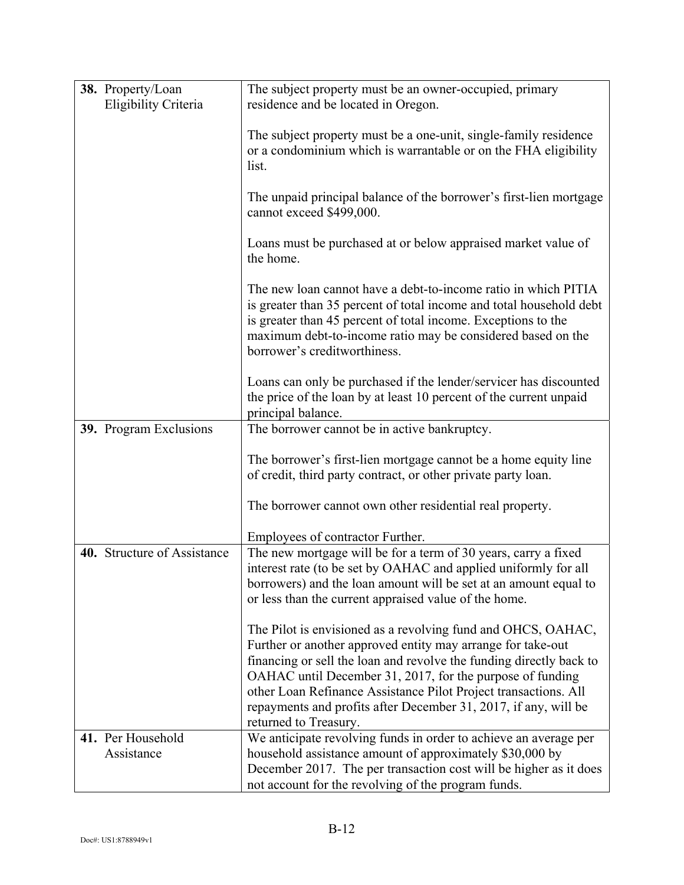| 38. Property/Loan<br>Eligibility Criteria | The subject property must be an owner-occupied, primary<br>residence and be located in Oregon.                                                                                                                                                                                                                                                                                                                                 |
|-------------------------------------------|--------------------------------------------------------------------------------------------------------------------------------------------------------------------------------------------------------------------------------------------------------------------------------------------------------------------------------------------------------------------------------------------------------------------------------|
|                                           | The subject property must be a one-unit, single-family residence<br>or a condominium which is warrantable or on the FHA eligibility<br>list.                                                                                                                                                                                                                                                                                   |
|                                           | The unpaid principal balance of the borrower's first-lien mortgage<br>cannot exceed \$499,000.                                                                                                                                                                                                                                                                                                                                 |
|                                           | Loans must be purchased at or below appraised market value of<br>the home.                                                                                                                                                                                                                                                                                                                                                     |
|                                           | The new loan cannot have a debt-to-income ratio in which PITIA<br>is greater than 35 percent of total income and total household debt<br>is greater than 45 percent of total income. Exceptions to the<br>maximum debt-to-income ratio may be considered based on the<br>borrower's creditworthiness.                                                                                                                          |
|                                           | Loans can only be purchased if the lender/servicer has discounted<br>the price of the loan by at least 10 percent of the current unpaid<br>principal balance.                                                                                                                                                                                                                                                                  |
| 39. Program Exclusions                    | The borrower cannot be in active bankruptcy.                                                                                                                                                                                                                                                                                                                                                                                   |
|                                           | The borrower's first-lien mortgage cannot be a home equity line<br>of credit, third party contract, or other private party loan.                                                                                                                                                                                                                                                                                               |
|                                           | The borrower cannot own other residential real property.                                                                                                                                                                                                                                                                                                                                                                       |
|                                           | Employees of contractor Further.                                                                                                                                                                                                                                                                                                                                                                                               |
| 40. Structure of Assistance               | The new mortgage will be for a term of 30 years, carry a fixed<br>interest rate (to be set by OAHAC and applied uniformly for all<br>borrowers) and the loan amount will be set at an amount equal to<br>or less than the current appraised value of the home.                                                                                                                                                                 |
|                                           | The Pilot is envisioned as a revolving fund and OHCS, OAHAC,<br>Further or another approved entity may arrange for take-out<br>financing or sell the loan and revolve the funding directly back to<br>OAHAC until December 31, 2017, for the purpose of funding<br>other Loan Refinance Assistance Pilot Project transactions. All<br>repayments and profits after December 31, 2017, if any, will be<br>returned to Treasury. |
| 41. Per Household<br>Assistance           | We anticipate revolving funds in order to achieve an average per<br>household assistance amount of approximately \$30,000 by<br>December 2017. The per transaction cost will be higher as it does<br>not account for the revolving of the program funds.                                                                                                                                                                       |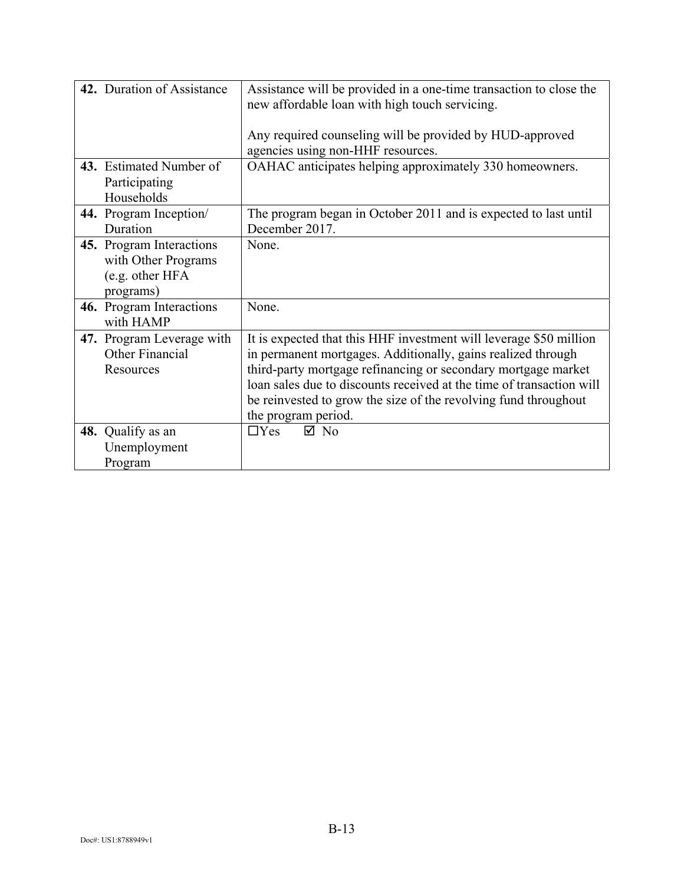| 42. Duration of Assistance | Assistance will be provided in a one-time transaction to close the   |
|----------------------------|----------------------------------------------------------------------|
|                            | new affordable loan with high touch servicing.                       |
|                            |                                                                      |
|                            | Any required counseling will be provided by HUD-approved             |
|                            | agencies using non-HHF resources.                                    |
| 43. Estimated Number of    | OAHAC anticipates helping approximately 330 homeowners.              |
| Participating              |                                                                      |
| Households                 |                                                                      |
| 44. Program Inception/     | The program began in October 2011 and is expected to last until      |
| Duration                   | December 2017.                                                       |
| 45. Program Interactions   | None.                                                                |
| with Other Programs        |                                                                      |
| (e.g. other HFA            |                                                                      |
| programs)                  |                                                                      |
| 46. Program Interactions   | None.                                                                |
| with HAMP                  |                                                                      |
| 47. Program Leverage with  | It is expected that this HHF investment will leverage \$50 million   |
| Other Financial            | in permanent mortgages. Additionally, gains realized through         |
| Resources                  | third-party mortgage refinancing or secondary mortgage market        |
|                            | loan sales due to discounts received at the time of transaction will |
|                            | be reinvested to grow the size of the revolving fund throughout      |
|                            | the program period.                                                  |
| 48. Qualify as an          | $\Box$ Yes<br>$\boxtimes$ No                                         |
| Unemployment               |                                                                      |
| Program                    |                                                                      |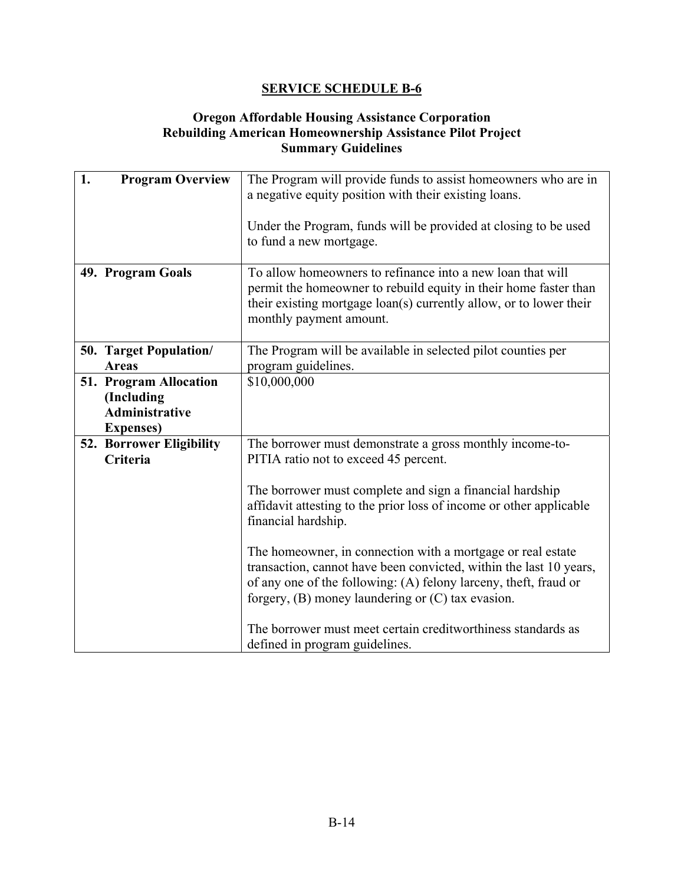### **Oregon Affordable Housing Assistance Corporation Rebuilding American Homeownership Assistance Pilot Project Summary Guidelines**

| 1.<br><b>Program Overview</b> |                                                                                    | The Program will provide funds to assist homeowners who are in<br>a negative equity position with their existing loans.                                                                                                                                        |
|-------------------------------|------------------------------------------------------------------------------------|----------------------------------------------------------------------------------------------------------------------------------------------------------------------------------------------------------------------------------------------------------------|
|                               |                                                                                    | Under the Program, funds will be provided at closing to be used<br>to fund a new mortgage.                                                                                                                                                                     |
|                               | 49. Program Goals                                                                  | To allow homeowners to refinance into a new loan that will<br>permit the homeowner to rebuild equity in their home faster than<br>their existing mortgage loan(s) currently allow, or to lower their<br>monthly payment amount.                                |
|                               | 50. Target Population/<br><b>Areas</b>                                             | The Program will be available in selected pilot counties per<br>program guidelines.                                                                                                                                                                            |
|                               | 51. Program Allocation<br>(Including<br><b>Administrative</b><br><b>Expenses</b> ) | \$10,000,000                                                                                                                                                                                                                                                   |
|                               | 52. Borrower Eligibility<br>Criteria                                               | The borrower must demonstrate a gross monthly income-to-<br>PITIA ratio not to exceed 45 percent.                                                                                                                                                              |
|                               |                                                                                    | The borrower must complete and sign a financial hardship<br>affidavit attesting to the prior loss of income or other applicable<br>financial hardship.                                                                                                         |
|                               |                                                                                    | The homeowner, in connection with a mortgage or real estate<br>transaction, cannot have been convicted, within the last 10 years,<br>of any one of the following: (A) felony larceny, theft, fraud or<br>forgery, $(B)$ money laundering or $(C)$ tax evasion. |
|                               |                                                                                    | The borrower must meet certain creditworthiness standards as<br>defined in program guidelines.                                                                                                                                                                 |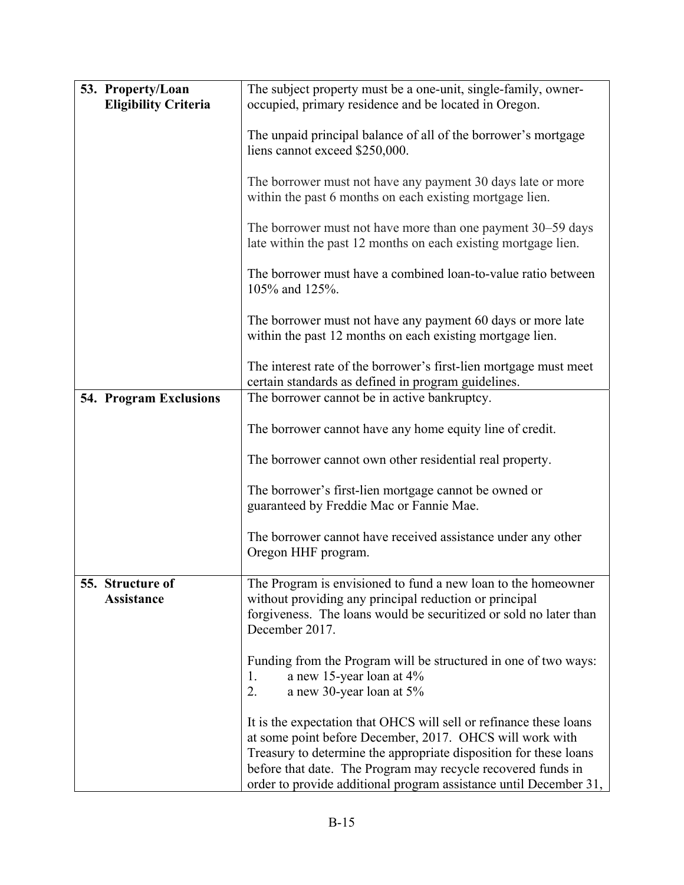| 53. Property/Loan<br><b>Eligibility Criteria</b> | The subject property must be a one-unit, single-family, owner-<br>occupied, primary residence and be located in Oregon.                                                                                                                                                                                                                  |  |
|--------------------------------------------------|------------------------------------------------------------------------------------------------------------------------------------------------------------------------------------------------------------------------------------------------------------------------------------------------------------------------------------------|--|
|                                                  | The unpaid principal balance of all of the borrower's mortgage<br>liens cannot exceed \$250,000.                                                                                                                                                                                                                                         |  |
|                                                  | The borrower must not have any payment 30 days late or more<br>within the past 6 months on each existing mortgage lien.                                                                                                                                                                                                                  |  |
|                                                  | The borrower must not have more than one payment 30–59 days<br>late within the past 12 months on each existing mortgage lien.                                                                                                                                                                                                            |  |
|                                                  | The borrower must have a combined loan-to-value ratio between<br>105% and 125%.                                                                                                                                                                                                                                                          |  |
|                                                  | The borrower must not have any payment 60 days or more late<br>within the past 12 months on each existing mortgage lien.                                                                                                                                                                                                                 |  |
|                                                  | The interest rate of the borrower's first-lien mortgage must meet<br>certain standards as defined in program guidelines.                                                                                                                                                                                                                 |  |
| <b>54. Program Exclusions</b>                    | The borrower cannot be in active bankruptcy.                                                                                                                                                                                                                                                                                             |  |
|                                                  | The borrower cannot have any home equity line of credit.                                                                                                                                                                                                                                                                                 |  |
|                                                  | The borrower cannot own other residential real property.                                                                                                                                                                                                                                                                                 |  |
|                                                  | The borrower's first-lien mortgage cannot be owned or<br>guaranteed by Freddie Mac or Fannie Mae.                                                                                                                                                                                                                                        |  |
|                                                  | The borrower cannot have received assistance under any other<br>Oregon HHF program.                                                                                                                                                                                                                                                      |  |
| 55. Structure of                                 | The Program is envisioned to fund a new loan to the homeowner                                                                                                                                                                                                                                                                            |  |
| <b>Assistance</b>                                | without providing any principal reduction or principal<br>forgiveness. The loans would be securitized or sold no later than<br>December 2017.                                                                                                                                                                                            |  |
|                                                  | Funding from the Program will be structured in one of two ways:<br>a new 15-year loan at 4%<br>1.<br>2.<br>a new 30-year loan at 5%                                                                                                                                                                                                      |  |
|                                                  | It is the expectation that OHCS will sell or refinance these loans<br>at some point before December, 2017. OHCS will work with<br>Treasury to determine the appropriate disposition for these loans<br>before that date. The Program may recycle recovered funds in<br>order to provide additional program assistance until December 31, |  |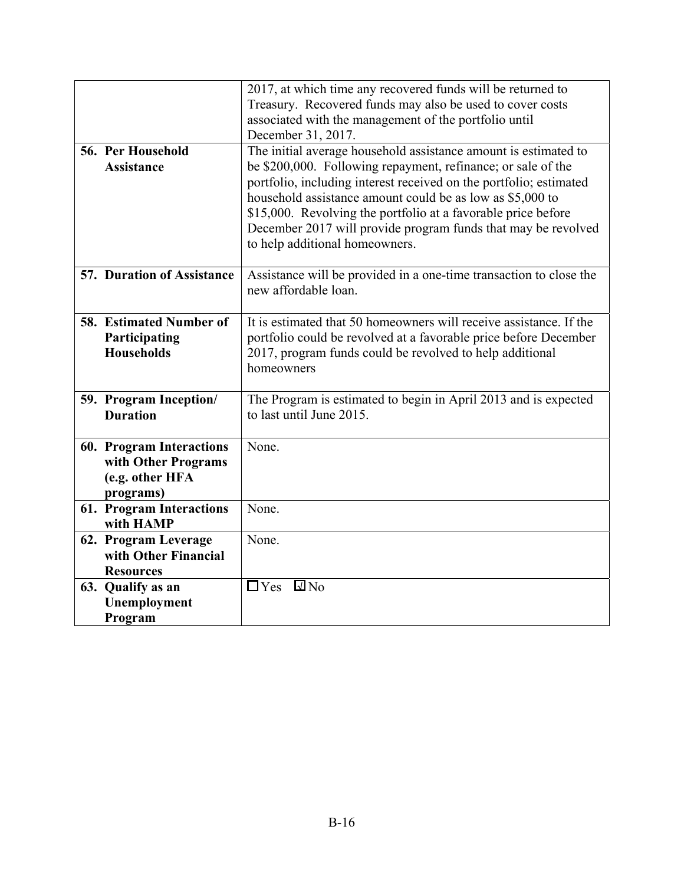|                                                                                        | 2017, at which time any recovered funds will be returned to<br>Treasury. Recovered funds may also be used to cover costs<br>associated with the management of the portfolio until                                                                                                                                                                                                                                                      |  |  |
|----------------------------------------------------------------------------------------|----------------------------------------------------------------------------------------------------------------------------------------------------------------------------------------------------------------------------------------------------------------------------------------------------------------------------------------------------------------------------------------------------------------------------------------|--|--|
|                                                                                        | December 31, 2017.                                                                                                                                                                                                                                                                                                                                                                                                                     |  |  |
| 56. Per Household<br><b>Assistance</b>                                                 | The initial average household assistance amount is estimated to<br>be \$200,000. Following repayment, refinance; or sale of the<br>portfolio, including interest received on the portfolio; estimated<br>household assistance amount could be as low as \$5,000 to<br>\$15,000. Revolving the portfolio at a favorable price before<br>December 2017 will provide program funds that may be revolved<br>to help additional homeowners. |  |  |
| <b>57. Duration of Assistance</b>                                                      | Assistance will be provided in a one-time transaction to close the<br>new affordable loan.                                                                                                                                                                                                                                                                                                                                             |  |  |
| 58. Estimated Number of<br>Participating<br><b>Households</b>                          | It is estimated that 50 homeowners will receive assistance. If the<br>portfolio could be revolved at a favorable price before December<br>2017, program funds could be revolved to help additional<br>homeowners                                                                                                                                                                                                                       |  |  |
| 59. Program Inception/<br><b>Duration</b>                                              | The Program is estimated to begin in April 2013 and is expected<br>to last until June 2015.                                                                                                                                                                                                                                                                                                                                            |  |  |
| <b>60. Program Interactions</b><br>with Other Programs<br>(e.g. other HFA<br>programs) | None.                                                                                                                                                                                                                                                                                                                                                                                                                                  |  |  |
| 61. Program Interactions<br>with HAMP                                                  | None.                                                                                                                                                                                                                                                                                                                                                                                                                                  |  |  |
| 62. Program Leverage<br>with Other Financial<br><b>Resources</b>                       | None.                                                                                                                                                                                                                                                                                                                                                                                                                                  |  |  |
| 63. Qualify as an<br>Unemployment<br>Program                                           | $\Box$ Yes $\Box$ No                                                                                                                                                                                                                                                                                                                                                                                                                   |  |  |